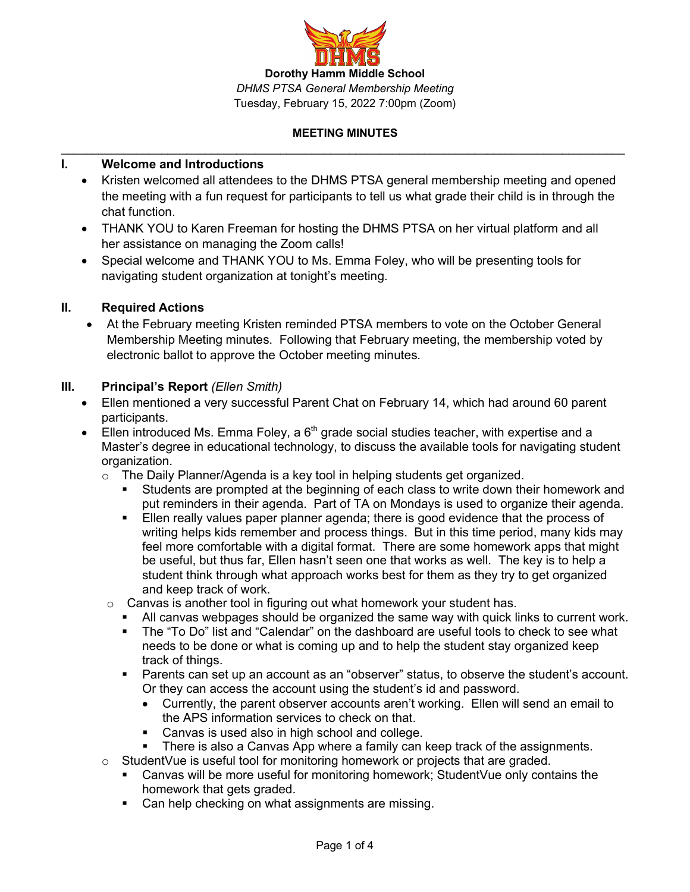

# **I. Welcome and Introductions**

- Kristen welcomed all attendees to the DHMS PTSA general membership meeting and opened the meeting with a fun request for participants to tell us what grade their child is in through the chat function.
- THANK YOU to Karen Freeman for hosting the DHMS PTSA on her virtual platform and all her assistance on managing the Zoom calls!
- Special welcome and THANK YOU to Ms. Emma Foley, who will be presenting tools for navigating student organization at tonight's meeting.

### **II. Required Actions**

• At the February meeting Kristen reminded PTSA members to vote on the October General Membership Meeting minutes. Following that February meeting, the membership voted by electronic ballot to approve the October meeting minutes.

### **III. Principal's Report** *(Ellen Smith)*

- Ellen mentioned a very successful Parent Chat on February 14, which had around 60 parent participants.
- Ellen introduced Ms. Emma Foley, a  $6<sup>th</sup>$  grade social studies teacher, with expertise and a Master's degree in educational technology, to discuss the available tools for navigating student organization.
	- $\circ$  The Daily Planner/Agenda is a key tool in helping students get organized.
		- Students are prompted at the beginning of each class to write down their homework and put reminders in their agenda. Part of TA on Mondays is used to organize their agenda.
		- **Ellen really values paper planner agenda; there is good evidence that the process of** writing helps kids remember and process things. But in this time period, many kids may feel more comfortable with a digital format. There are some homework apps that might be useful, but thus far, Ellen hasn't seen one that works as well. The key is to help a student think through what approach works best for them as they try to get organized and keep track of work.
	- $\circ$  Canvas is another tool in figuring out what homework your student has.
		- All canvas webpages should be organized the same way with quick links to current work.
		- The "To Do" list and "Calendar" on the dashboard are useful tools to check to see what needs to be done or what is coming up and to help the student stay organized keep track of things.
		- § Parents can set up an account as an "observer" status, to observe the student's account. Or they can access the account using the student's id and password.
			- Currently, the parent observer accounts aren't working. Ellen will send an email to the APS information services to check on that.
			- Canvas is used also in high school and college.
			- § There is also a Canvas App where a family can keep track of the assignments.
	- $\circ$  Student Vue is useful tool for monitoring homework or projects that are graded.
		- § Canvas will be more useful for monitoring homework; StudentVue only contains the homework that gets graded.
		- Can help checking on what assignments are missing.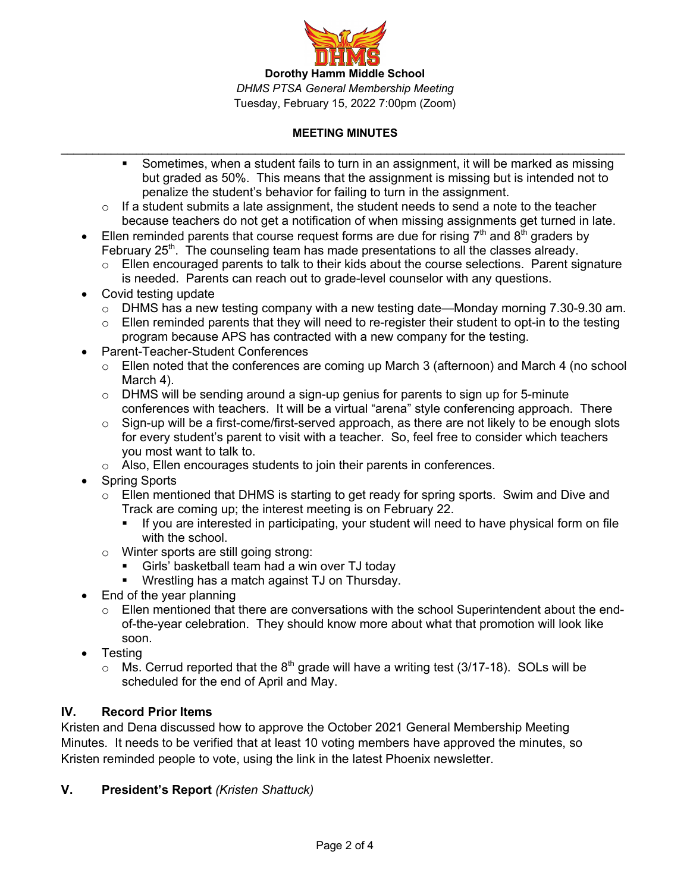

- Sometimes, when a student fails to turn in an assignment, it will be marked as missing but graded as 50%. This means that the assignment is missing but is intended not to penalize the student's behavior for failing to turn in the assignment.
- $\circ$  If a student submits a late assignment, the student needs to send a note to the teacher because teachers do not get a notification of when missing assignments get turned in late.
- Ellen reminded parents that course request forms are due for rising  $7<sup>th</sup>$  and  $8<sup>th</sup>$  graders by February  $25<sup>th</sup>$ . The counseling team has made presentations to all the classes already.
	- $\circ$  Ellen encouraged parents to talk to their kids about the course selections. Parent signature is needed. Parents can reach out to grade-level counselor with any questions.
- Covid testing update
	- $\circ$  DHMS has a new testing company with a new testing date—Monday morning 7.30-9.30 am.
	- $\circ$  Ellen reminded parents that they will need to re-register their student to opt-in to the testing program because APS has contracted with a new company for the testing.
- Parent-Teacher-Student Conferences
	- $\circ$  Ellen noted that the conferences are coming up March 3 (afternoon) and March 4 (no school March 4).
	- $\circ$  DHMS will be sending around a sign-up genius for parents to sign up for 5-minute conferences with teachers. It will be a virtual "arena" style conferencing approach. There
	- $\circ$  Sign-up will be a first-come/first-served approach, as there are not likely to be enough slots for every student's parent to visit with a teacher. So, feel free to consider which teachers you most want to talk to.
	- o Also, Ellen encourages students to join their parents in conferences.
- **Spring Sports** 
	- $\circ$  Ellen mentioned that DHMS is starting to get ready for spring sports. Swim and Dive and Track are coming up; the interest meeting is on February 22.
		- If you are interested in participating, your student will need to have physical form on file with the school.
	- o Winter sports are still going strong:
		- Girls' basketball team had a win over TJ today
		- Wrestling has a match against TJ on Thursday.
- End of the year planning
	- $\circ$  Ellen mentioned that there are conversations with the school Superintendent about the endof-the-year celebration. They should know more about what that promotion will look like soon.
- Testing
	- $\circ$  Ms. Cerrud reported that the 8<sup>th</sup> grade will have a writing test (3/17-18). SOLs will be scheduled for the end of April and May.

# **IV. Record Prior Items**

Kristen and Dena discussed how to approve the October 2021 General Membership Meeting Minutes. It needs to be verified that at least 10 voting members have approved the minutes, so Kristen reminded people to vote, using the link in the latest Phoenix newsletter.

# **V. President's Report** *(Kristen Shattuck)*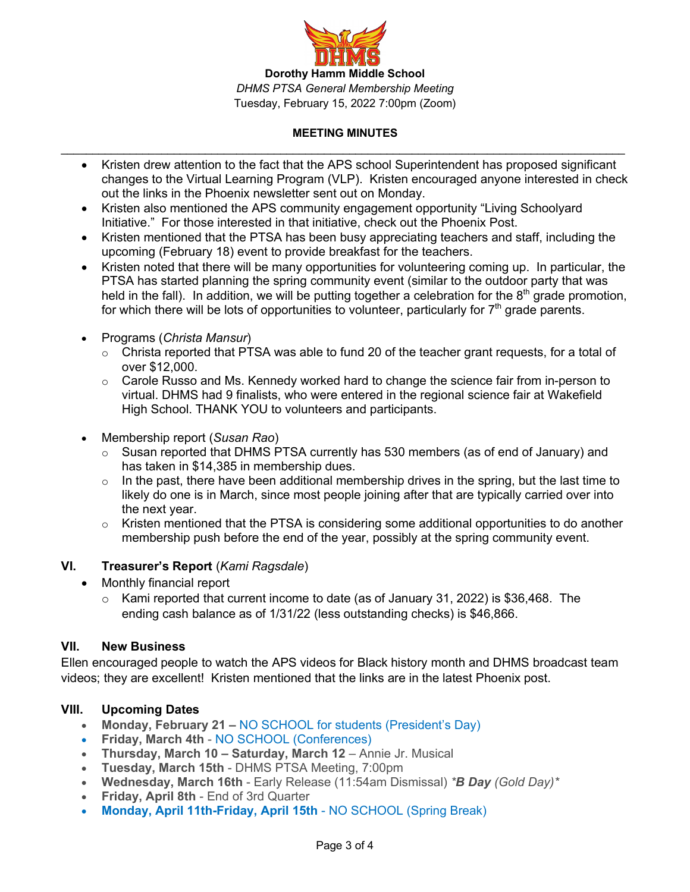

- Kristen drew attention to the fact that the APS school Superintendent has proposed significant changes to the Virtual Learning Program (VLP). Kristen encouraged anyone interested in check out the links in the Phoenix newsletter sent out on Monday.
- Kristen also mentioned the APS community engagement opportunity "Living Schoolyard Initiative." For those interested in that initiative, check out the Phoenix Post.
- Kristen mentioned that the PTSA has been busy appreciating teachers and staff, including the upcoming (February 18) event to provide breakfast for the teachers.
- Kristen noted that there will be many opportunities for volunteering coming up. In particular, the PTSA has started planning the spring community event (similar to the outdoor party that was held in the fall). In addition, we will be putting together a celebration for the  $8<sup>th</sup>$  grade promotion, for which there will be lots of opportunities to volunteer, particularly for  $7<sup>th</sup>$  grade parents.
- Programs (*Christa Mansur*)
	- o Christa reported that PTSA was able to fund 20 of the teacher grant requests, for a total of over \$12,000.
	- $\circ$  Carole Russo and Ms. Kennedy worked hard to change the science fair from in-person to virtual. DHMS had 9 finalists, who were entered in the regional science fair at Wakefield High School. THANK YOU to volunteers and participants.
- Membership report (*Susan Rao*)
	- o Susan reported that DHMS PTSA currently has 530 members (as of end of January) and has taken in \$14,385 in membership dues.
	- $\circ$  In the past, there have been additional membership drives in the spring, but the last time to likely do one is in March, since most people joining after that are typically carried over into the next year.
	- $\circ$  Kristen mentioned that the PTSA is considering some additional opportunities to do another membership push before the end of the year, possibly at the spring community event.

# **VI. Treasurer's Report** (*Kami Ragsdale*)

- Monthly financial report
	- $\circ$  Kami reported that current income to date (as of January 31, 2022) is \$36,468. The ending cash balance as of 1/31/22 (less outstanding checks) is \$46,866.

# **VII. New Business**

Ellen encouraged people to watch the APS videos for Black history month and DHMS broadcast team videos; they are excellent! Kristen mentioned that the links are in the latest Phoenix post.

# **VIII. Upcoming Dates**

- **Monday, February 21 –** NO SCHOOL for students (President's Day)
- **Friday, March 4th** NO SCHOOL (Conferences)
- **Thursday, March 10 – Saturday, March 12** Annie Jr. Musical
- **Tuesday, March 15th** DHMS PTSA Meeting, 7:00pm
- **Wednesday, March 16th** Early Release (11:54am Dismissal) *\*B Day (Gold Day)\**
- **Friday, April 8th** End of 3rd Quarter
- **Monday, April 11th-Friday, April 15th** NO SCHOOL (Spring Break)